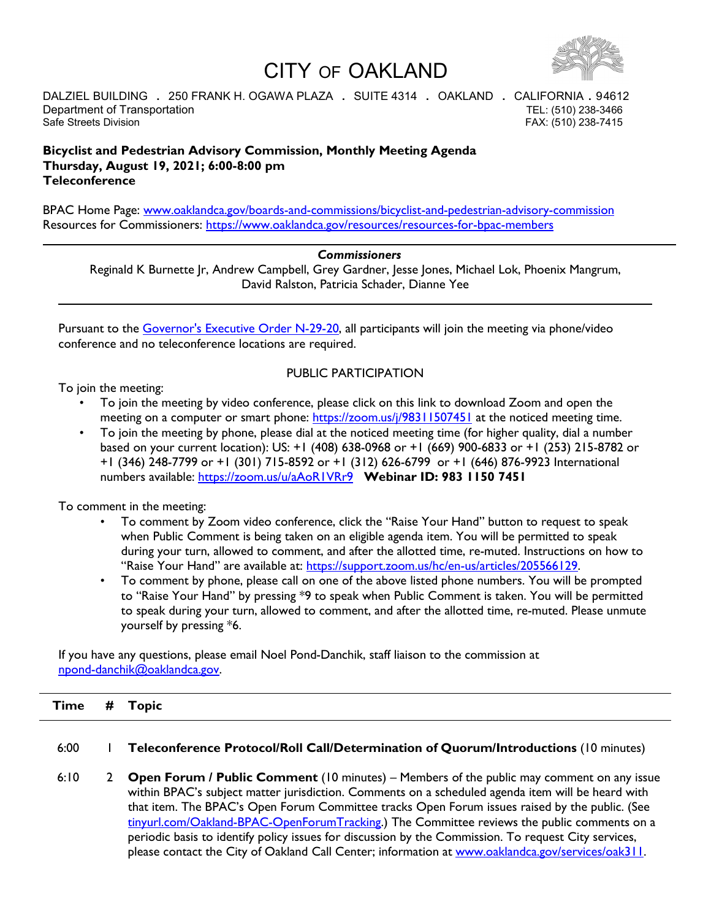# CITY OF OAKLAND



DALZIEL BUILDING **.** 250 FRANK H. OGAWA PLAZA **.** SUITE 4314 **.** OAKLAND **.** CALIFORNIA **.** 94612 Department of Transportation **TEL:** (510) 238-3466 Safe Streets Division **FAX: (510) 238-7415** 

# **Bicyclist and Pedestrian Advisory Commission, Monthly Meeting Agenda Thursday, August 19, 2021; 6:00-8:00 pm Teleconference**

BPAC Home Page: [www.oaklandca.gov/boards-and-commissions/bicyclist-and-pedestrian-advisory-commission](http://www.oaklandca.gov/boards-and-commissions/bicyclist-and-pedestrian-advisory-commission) Resources for Commissioners:<https://www.oaklandca.gov/resources/resources-for-bpac-members>

# *Commissioners*

Reginald K Burnette Jr, Andrew Campbell, Grey Gardner, Jesse Jones, Michael Lok, Phoenix Mangrum, David Ralston, Patricia Schader, Dianne Yee

Pursuant to the [Governor's Executive Order N-29-20,](https://www.gov.ca.gov/wp-content/uploads/2020/03/3.17.20-N-29-20-EO.pdf) all participants will join the meeting via phone/video conference and no teleconference locations are required.

# PUBLIC PARTICIPATION

To join the meeting:

- To join the meeting by video conference, please click on this link to download Zoom and open the meeting on a computer or smart phone:<https://zoom.us/j/98311507451> at the noticed meeting time.
- To join the meeting by phone, please dial at the noticed meeting time (for higher quality, dial a number based on your current location): US: +1 (408) 638-0968 or +1 (669) 900-6833 or +1 (253) 215-8782 or +1 (346) 248-7799 or +1 (301) 715-8592 or +1 (312) 626-6799 or +1 (646) 876-9923 International numbers available:<https://zoom.us/u/aAoR1VRr9> **Webinar ID: 983 1150 7451**

To comment in the meeting:

- To comment by Zoom video conference, click the "Raise Your Hand" button to request to speak when Public Comment is being taken on an eligible agenda item. You will be permitted to speak during your turn, allowed to comment, and after the allotted time, re-muted. Instructions on how to "Raise Your Hand" are available at: [https://support.zoom.us/hc/en-us/articles/205566129.](https://support.zoom.us/hc/en-us/articles/205566129)
- To comment by phone, please call on one of the above listed phone numbers. You will be prompted to "Raise Your Hand" by pressing \*9 to speak when Public Comment is taken. You will be permitted to speak during your turn, allowed to comment, and after the allotted time, re-muted. Please unmute yourself by pressing \*6.

If you have any questions, please email Noel Pond-Danchik, staff liaison to the commission at [npond-danchik@oaklandca.gov.](mailto:npond-danchik@oaklandca.gov)

| <b>Time</b> | # | <b>Topic</b> |  |  |  |  |
|-------------|---|--------------|--|--|--|--|
|             |   |              |  |  |  |  |

#### 6:00 1 **Teleconference Protocol/Roll Call/Determination of Quorum/Introductions** (10 minutes)

6:10 2 **Open Forum / Public Comment** (10 minutes) – Members of the public may comment on any issue within BPAC's subject matter jurisdiction. Comments on a scheduled agenda item will be heard with that item. The BPAC's Open Forum Committee tracks Open Forum issues raised by the public. (See [tinyurl.com/Oakland-BPAC-OpenForumTracking.](http://tinyurl.com/Oakland-BPAC-OpenForumTracking)) The Committee reviews the public comments on a periodic basis to identify policy issues for discussion by the Commission. To request City services, please contact the City of Oakland Call Center; information at [www.oaklandca.gov/services/oak311.](http://www.oaklandca.gov/services/oak311)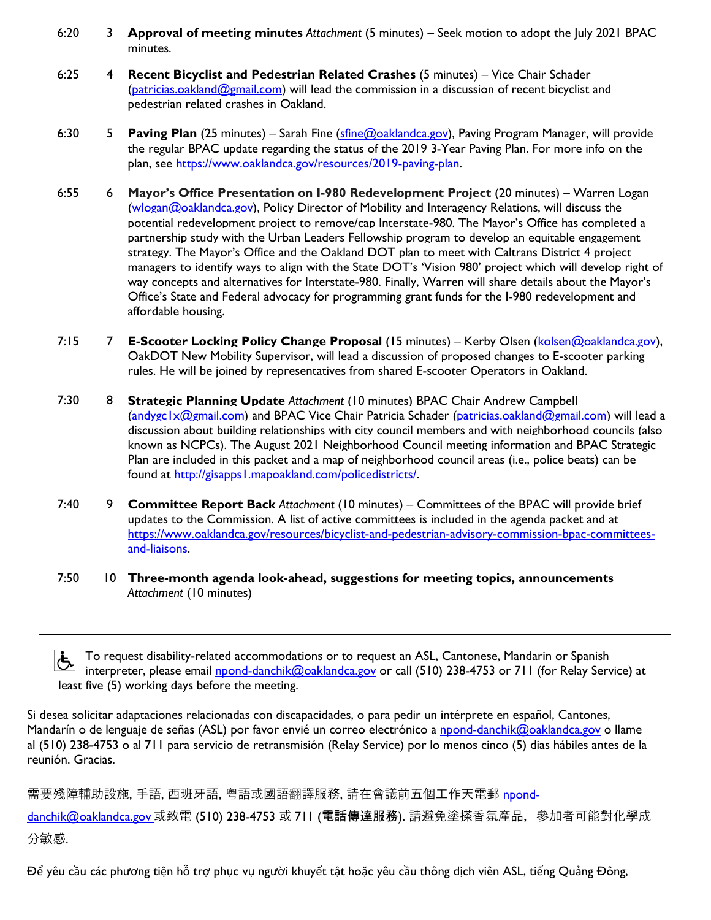- 6:20 3 **Approval of meeting minutes** *Attachment* (5 minutes) Seek motion to adopt the July 2021 BPAC minutes.
- 6:25 4 **Recent Bicyclist and Pedestrian Related Crashes** (5 minutes) – Vice Chair Schader [\(patricias.oakland@gmail.com\)](mailto:patricias.oakland@gmail.com) will lead the commission in a discussion of recent bicyclist and pedestrian related crashes in Oakland.
- 6:30 5 **Paving Plan** (25 minutes) – Sarah Fine (stine@oaklandca.gov), Paving Program Manager, will provide the regular BPAC update regarding the status of the 2019 3-Year Paving Plan. For more info on the plan, see [https://www.oaklandca.gov/resources/2019-paving-plan.](https://www.oaklandca.gov/resources/2019-paving-plan)
- 6:55 6 **Mayor's Office Presentation on I-980 Redevelopment Project** (20 minutes) – Warren Logan [\(wlogan@oaklandca.gov\)](mailto:wlogan@oaklandca.gov), Policy Director of Mobility and Interagency Relations, will discuss the potential redevelopment project to remove/cap Interstate-980. The Mayor's Office has completed a partnership study with the Urban Leaders Fellowship program to develop an equitable engagement strategy. The Mayor's Office and the Oakland DOT plan to meet with Caltrans District 4 project managers to identify ways to align with the State DOT's 'Vision 980' project which will develop right of way concepts and alternatives for Interstate-980. Finally, Warren will share details about the Mayor's Office's State and Federal advocacy for programming grant funds for the I-980 redevelopment and affordable housing.
- 7:15 7 **E-Scooter Locking Policy Change Proposal** (15 minutes) – Kerby Olsen [\(kolsen@oaklandca.gov\)](mailto:kolsen@oaklandca.gov), OakDOT New Mobility Supervisor, will lead a discussion of proposed changes to E-scooter parking rules. He will be joined by representatives from shared E-scooter Operators in Oakland.
- 7:30 8 **Strategic Planning Update** *Attachment* (10 minutes) BPAC Chair Andrew Campbell [\(andygc1x@gmail.com\)](mailto:andygc1x@gmail.com) and BPAC Vice Chair Patricia Schader [\(patricias.oakland@gmail.com\)](mailto:patricias.oakland@gmail.com) will lead a discussion about building relationships with city council members and with neighborhood councils (also known as NCPCs). The August 2021 Neighborhood Council meeting information and BPAC Strategic Plan are included in this packet and a map of neighborhood council areas (i.e., police beats) can be found at [http://gisapps1.mapoakland.com/policedistricts/.](http://gisapps1.mapoakland.com/policedistricts/)
- 7:40 9 **Committee Report Back** *Attachment* (10 minutes) – Committees of the BPAC will provide brief updates to the Commission. A list of active committees is included in the agenda packet and at [https://www.oaklandca.gov/resources/bicyclist-and-pedestrian-advisory-commission-bpac-committees](https://www.oaklandca.gov/resources/bicyclist-and-pedestrian-advisory-commission-bpac-committees-and-liaisons)[and-liaisons.](https://www.oaklandca.gov/resources/bicyclist-and-pedestrian-advisory-commission-bpac-committees-and-liaisons)
- 7:50 10 **Three-month agenda look-ahead, suggestions for meeting topics, announcements**  *Attachment* (10 minutes)

க் To request disability-related accommodations or to request an ASL, Cantonese, Mandarin or Spanish interpreter, please email [npond-danchik@oaklandca.gov](mailto:npond-danchik@oaklandca.gov) or call (510) 238-4753 or 711 (for Relay Service) at least five (5) working days before the meeting.

Si desea solicitar adaptaciones relacionadas con discapacidades, o para pedir un intérprete en español, Cantones, Mandarín o de lenguaje de señas (ASL) por favor envié un correo electrónico a [npond-danchik@oaklandca.gov](mailto:npond-danchik@oaklandca.gov) o llame al (510) 238-4753 o al 711 para servicio de retransmisión (Relay Service) por lo menos cinco (5) dias hábiles antes de la reunión. Gracias.

需要殘障輔助設施, 手語, 西班牙語, 粵語或國語翻譯服務, 請在會議前五個工作天電郵 <u>npond-</u>

<u>[danchik@oaklandca.gov](mailto:npond-danchik@oaklandca.gov) </u>或致電 (510) 238-4753 或 7I I (電話傳達服務). 請避免塗搽香氛產品, 參加者可能對化學成 分敏感.

Để yêu cầu các phương tiện hỗ trợ phục vụ người khuyết tật hoặc yêu cầu thông dịch viên ASL, tiếng Quảng Đông,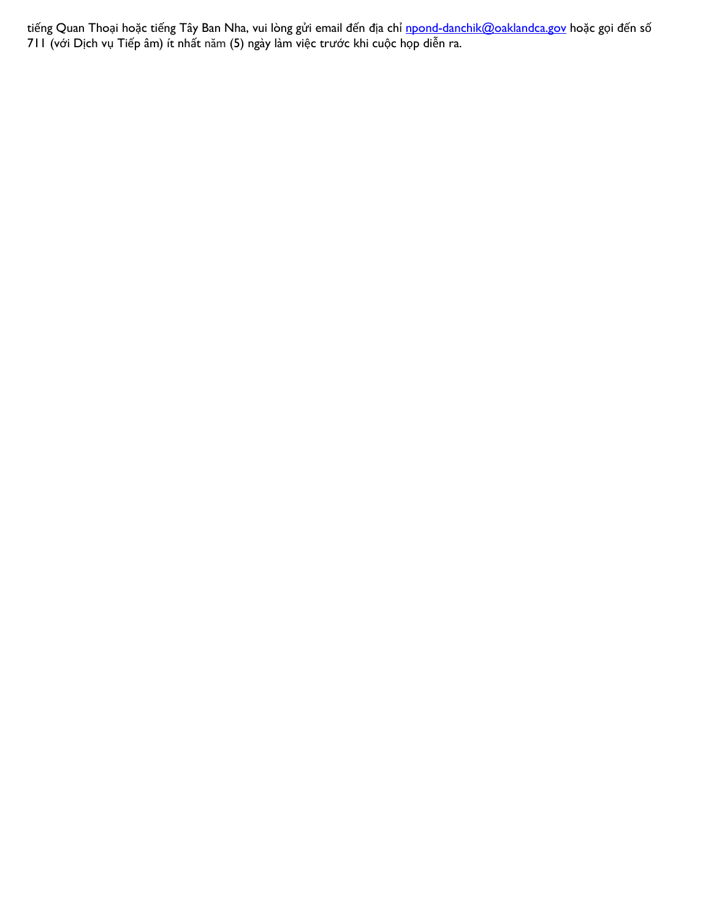tiếng Quan Thoại hoặc tiếng Tây Ban Nha, vui lòng gửi email đến địa chỉ <u>[npond-danchik@oaklandca.gov](mailto:npond-danchik@oaklandca.gov)</u> hoặc gọi đến số 711 (với Dịch vụ Tiếp âm) ít nhất năm (5) ngày làm việc trước khi cuộc họp diễn ra.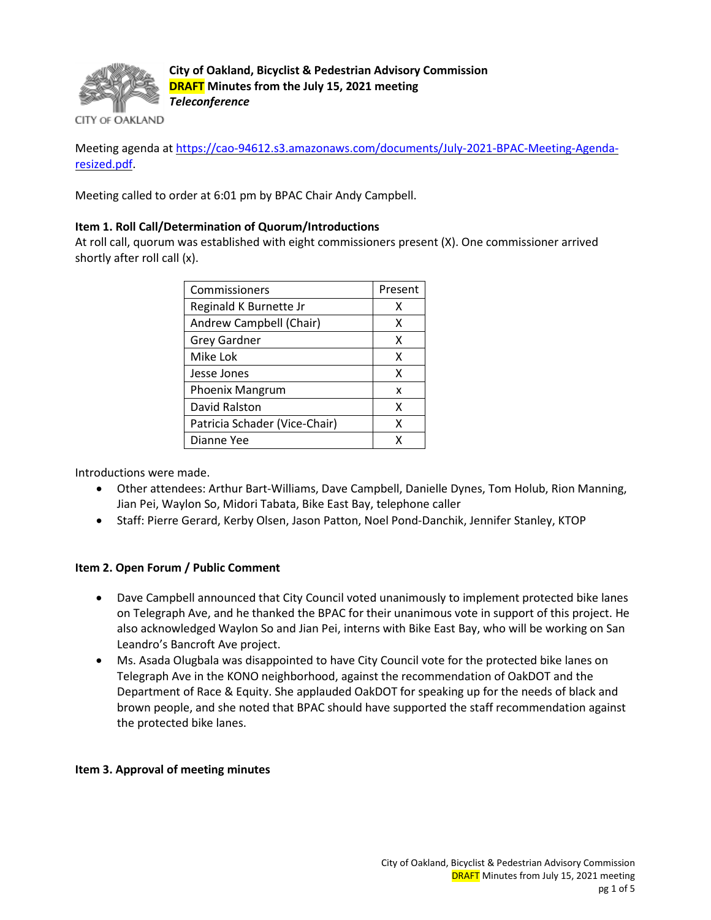

**City of Oakland, Bicyclist & Pedestrian Advisory Commission DRAFT Minutes from the July 15, 2021 meeting** *Teleconference*

**CITY OF OAKLAND** 

Meeting agenda at [https://cao-94612.s3.amazonaws.com/documents/July-2021-BPAC-Meeting-Agenda](https://cao-94612.s3.amazonaws.com/documents/July-2021-BPAC-Meeting-Agenda-resized.pdf)[resized.pdf.](https://cao-94612.s3.amazonaws.com/documents/July-2021-BPAC-Meeting-Agenda-resized.pdf)

Meeting called to order at 6:01 pm by BPAC Chair Andy Campbell.

# **Item 1. Roll Call/Determination of Quorum/Introductions**

At roll call, quorum was established with eight commissioners present (X). One commissioner arrived shortly after roll call (x).

| Commissioners                 | Present |
|-------------------------------|---------|
| Reginald K Burnette Jr        | х       |
| Andrew Campbell (Chair)       | х       |
| <b>Grey Gardner</b>           | x       |
| Mike Lok                      | x       |
| Jesse Jones                   | x       |
| Phoenix Mangrum               | x       |
| David Ralston                 | x       |
| Patricia Schader (Vice-Chair) | x       |
| Dianne Yee                    | x       |

Introductions were made.

- Other attendees: Arthur Bart-Williams, Dave Campbell, Danielle Dynes, Tom Holub, Rion Manning, Jian Pei, Waylon So, Midori Tabata, Bike East Bay, telephone caller
- Staff: Pierre Gerard, Kerby Olsen, Jason Patton, Noel Pond-Danchik, Jennifer Stanley, KTOP

#### **Item 2. Open Forum / Public Comment**

- Dave Campbell announced that City Council voted unanimously to implement protected bike lanes on Telegraph Ave, and he thanked the BPAC for their unanimous vote in support of this project. He also acknowledged Waylon So and Jian Pei, interns with Bike East Bay, who will be working on San Leandro's Bancroft Ave project.
- Ms. Asada Olugbala was disappointed to have City Council vote for the protected bike lanes on Telegraph Ave in the KONO neighborhood, against the recommendation of OakDOT and the Department of Race & Equity. She applauded OakDOT for speaking up for the needs of black and brown people, and she noted that BPAC should have supported the staff recommendation against the protected bike lanes.

#### **Item 3. Approval of meeting minutes**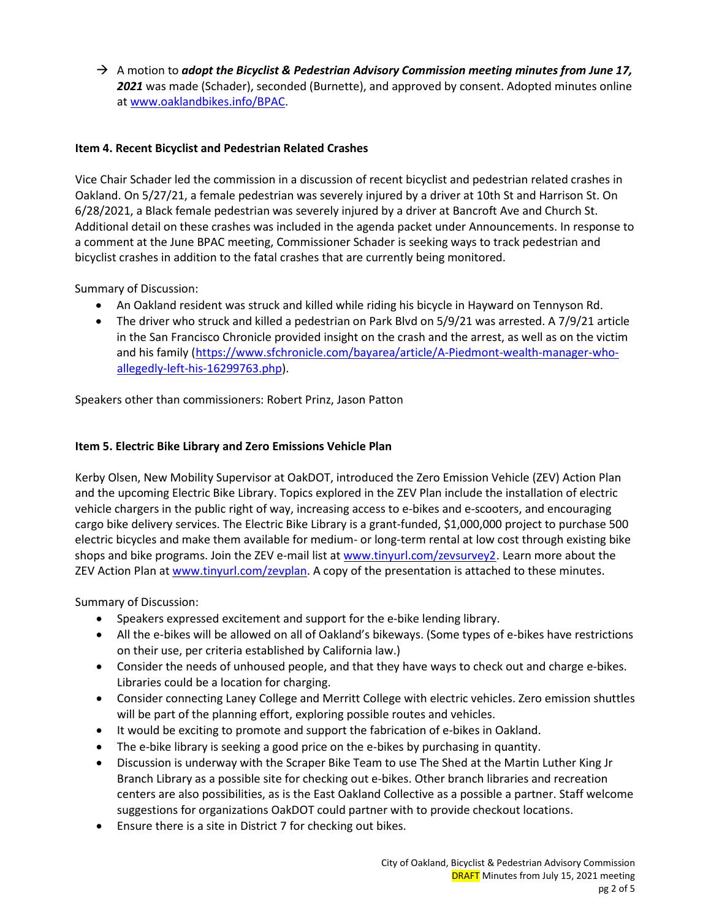$\rightarrow$  A motion to *adopt the Bicyclist & Pedestrian Advisory Commission meeting minutes from June 17, 2021* was made (Schader), seconded (Burnette), and approved by consent. Adopted minutes online at [www.oaklandbikes.info/BPAC.](http://www.oaklandbikes.info/BPAC)

# **Item 4. Recent Bicyclist and Pedestrian Related Crashes**

Vice Chair Schader led the commission in a discussion of recent bicyclist and pedestrian related crashes in Oakland. On 5/27/21, a female pedestrian was severely injured by a driver at 10th St and Harrison St. On 6/28/2021, a Black female pedestrian was severely injured by a driver at Bancroft Ave and Church St. Additional detail on these crashes was included in the agenda packet under Announcements. In response to a comment at the June BPAC meeting, Commissioner Schader is seeking ways to track pedestrian and bicyclist crashes in addition to the fatal crashes that are currently being monitored.

Summary of Discussion:

- An Oakland resident was struck and killed while riding his bicycle in Hayward on Tennyson Rd.
- The driver who struck and killed a pedestrian on Park Blvd on 5/9/21 was arrested. A 7/9/21 article in the San Francisco Chronicle provided insight on the crash and the arrest, as well as on the victim and his family [\(https://www.sfchronicle.com/bayarea/article/A-Piedmont-wealth-manager-who](https://www.sfchronicle.com/bayarea/article/A-Piedmont-wealth-manager-who-allegedly-left-his-16299763.php)[allegedly-left-his-16299763.php\)](https://www.sfchronicle.com/bayarea/article/A-Piedmont-wealth-manager-who-allegedly-left-his-16299763.php).

Speakers other than commissioners: Robert Prinz, Jason Patton

# **Item 5. Electric Bike Library and Zero Emissions Vehicle Plan**

Kerby Olsen, New Mobility Supervisor at OakDOT, introduced the Zero Emission Vehicle (ZEV) Action Plan and the upcoming Electric Bike Library. Topics explored in the ZEV Plan include the installation of electric vehicle chargers in the public right of way, increasing access to e-bikes and e-scooters, and encouraging cargo bike delivery services. The Electric Bike Library is a grant-funded, \$1,000,000 project to purchase 500 electric bicycles and make them available for medium- or long-term rental at low cost through existing bike shops and bike programs. Join the ZEV e-mail list at [www.tinyurl.com/zevsurvey2.](http://www.tinyurl.com/zevsurvey2) Learn more about the ZEV Action Plan at [www.tinyurl.com/zevplan.](http://www.tinyurl.com/zevplan) A copy of the presentation is attached to these minutes.

Summary of Discussion:

- Speakers expressed excitement and support for the e-bike lending library.
- All the e-bikes will be allowed on all of Oakland's bikeways. (Some types of e-bikes have restrictions on their use, per criteria established by California law.)
- Consider the needs of unhoused people, and that they have ways to check out and charge e-bikes. Libraries could be a location for charging.
- Consider connecting Laney College and Merritt College with electric vehicles. Zero emission shuttles will be part of the planning effort, exploring possible routes and vehicles.
- It would be exciting to promote and support the fabrication of e-bikes in Oakland.
- The e-bike library is seeking a good price on the e-bikes by purchasing in quantity.
- Discussion is underway with the Scraper Bike Team to use The Shed at the Martin Luther King Jr Branch Library as a possible site for checking out e-bikes. Other branch libraries and recreation centers are also possibilities, as is the East Oakland Collective as a possible a partner. Staff welcome suggestions for organizations OakDOT could partner with to provide checkout locations.
- Ensure there is a site in District 7 for checking out bikes.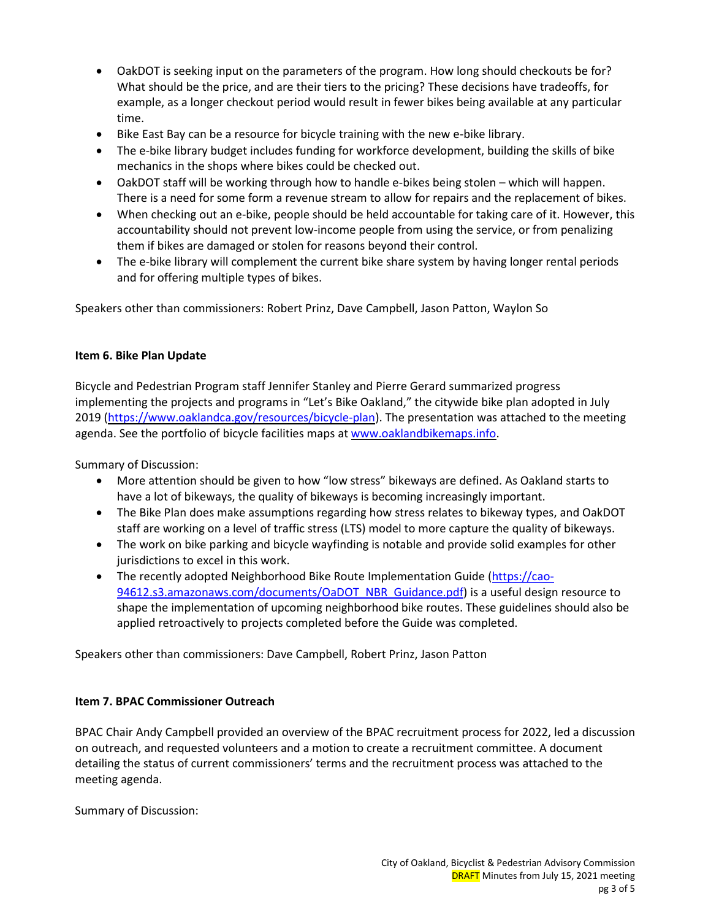- OakDOT is seeking input on the parameters of the program. How long should checkouts be for? What should be the price, and are their tiers to the pricing? These decisions have tradeoffs, for example, as a longer checkout period would result in fewer bikes being available at any particular time.
- Bike East Bay can be a resource for bicycle training with the new e-bike library.
- The e-bike library budget includes funding for workforce development, building the skills of bike mechanics in the shops where bikes could be checked out.
- OakDOT staff will be working through how to handle e-bikes being stolen which will happen. There is a need for some form a revenue stream to allow for repairs and the replacement of bikes.
- When checking out an e-bike, people should be held accountable for taking care of it. However, this accountability should not prevent low-income people from using the service, or from penalizing them if bikes are damaged or stolen for reasons beyond their control.
- The e-bike library will complement the current bike share system by having longer rental periods and for offering multiple types of bikes.

Speakers other than commissioners: Robert Prinz, Dave Campbell, Jason Patton, Waylon So

# **Item 6. Bike Plan Update**

Bicycle and Pedestrian Program staff Jennifer Stanley and Pierre Gerard summarized progress implementing the projects and programs in "Let's Bike Oakland," the citywide bike plan adopted in July 2019 [\(https://www.oaklandca.gov/resources/bicycle-plan\)](https://www.oaklandca.gov/resources/bicycle-plan). The presentation was attached to the meeting agenda. See the portfolio of bicycle facilities maps at [www.oaklandbikemaps.info.](http://www.oaklandbikemaps.info/)

Summary of Discussion:

- More attention should be given to how "low stress" bikeways are defined. As Oakland starts to have a lot of bikeways, the quality of bikeways is becoming increasingly important.
- The Bike Plan does make assumptions regarding how stress relates to bikeway types, and OakDOT staff are working on a level of traffic stress (LTS) model to more capture the quality of bikeways.
- The work on bike parking and bicycle wayfinding is notable and provide solid examples for other jurisdictions to excel in this work.
- The recently adopted Neighborhood Bike Route Implementation Guide [\(https://cao-](https://cao-94612.s3.amazonaws.com/documents/OaDOT_NBR_Guidance.pdf)[94612.s3.amazonaws.com/documents/OaDOT\\_NBR\\_Guidance.pdf\)](https://cao-94612.s3.amazonaws.com/documents/OaDOT_NBR_Guidance.pdf) is a useful design resource to shape the implementation of upcoming neighborhood bike routes. These guidelines should also be applied retroactively to projects completed before the Guide was completed.

Speakers other than commissioners: Dave Campbell, Robert Prinz, Jason Patton

# **Item 7. BPAC Commissioner Outreach**

BPAC Chair Andy Campbell provided an overview of the BPAC recruitment process for 2022, led a discussion on outreach, and requested volunteers and a motion to create a recruitment committee. A document detailing the status of current commissioners' terms and the recruitment process was attached to the meeting agenda.

Summary of Discussion: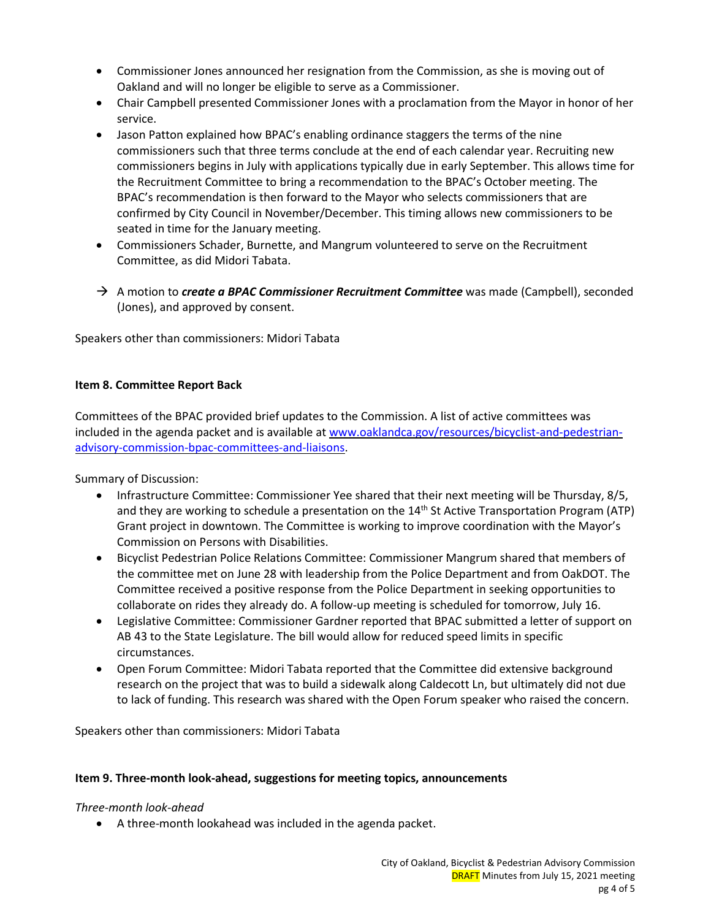- Commissioner Jones announced her resignation from the Commission, as she is moving out of Oakland and will no longer be eligible to serve as a Commissioner.
- Chair Campbell presented Commissioner Jones with a proclamation from the Mayor in honor of her service.
- Jason Patton explained how BPAC's enabling ordinance staggers the terms of the nine commissioners such that three terms conclude at the end of each calendar year. Recruiting new commissioners begins in July with applications typically due in early September. This allows time for the Recruitment Committee to bring a recommendation to the BPAC's October meeting. The BPAC's recommendation is then forward to the Mayor who selects commissioners that are confirmed by City Council in November/December. This timing allows new commissioners to be seated in time for the January meeting.
- Commissioners Schader, Burnette, and Mangrum volunteered to serve on the Recruitment Committee, as did Midori Tabata.
- → A motion to *create a BPAC Commissioner Recruitment Committee* was made (Campbell), seconded (Jones), and approved by consent.

Speakers other than commissioners: Midori Tabata

# **Item 8. Committee Report Back**

Committees of the BPAC provided brief updates to the Commission. A list of active committees was included in the agenda packet and is available at [www.oaklandca.gov/resources/bicyclist-and-pedestrian](http://www.oaklandca.gov/resources/bicyclist-and-pedestrian-advisory-commission-bpac-committees-and-liaisons)[advisory-commission-bpac-committees-and-liaisons.](http://www.oaklandca.gov/resources/bicyclist-and-pedestrian-advisory-commission-bpac-committees-and-liaisons)

Summary of Discussion:

- Infrastructure Committee: Commissioner Yee shared that their next meeting will be Thursday, 8/5, and they are working to schedule a presentation on the 14<sup>th</sup> St Active Transportation Program (ATP) Grant project in downtown. The Committee is working to improve coordination with the Mayor's Commission on Persons with Disabilities.
- Bicyclist Pedestrian Police Relations Committee: Commissioner Mangrum shared that members of the committee met on June 28 with leadership from the Police Department and from OakDOT. The Committee received a positive response from the Police Department in seeking opportunities to collaborate on rides they already do. A follow-up meeting is scheduled for tomorrow, July 16.
- Legislative Committee: Commissioner Gardner reported that BPAC submitted a letter of support on AB 43 to the State Legislature. The bill would allow for reduced speed limits in specific circumstances.
- Open Forum Committee: Midori Tabata reported that the Committee did extensive background research on the project that was to build a sidewalk along Caldecott Ln, but ultimately did not due to lack of funding. This research was shared with the Open Forum speaker who raised the concern.

Speakers other than commissioners: Midori Tabata

#### **Item 9. Three-month look-ahead, suggestions for meeting topics, announcements**

#### *Three-month look-ahead*

• A three-month lookahead was included in the agenda packet.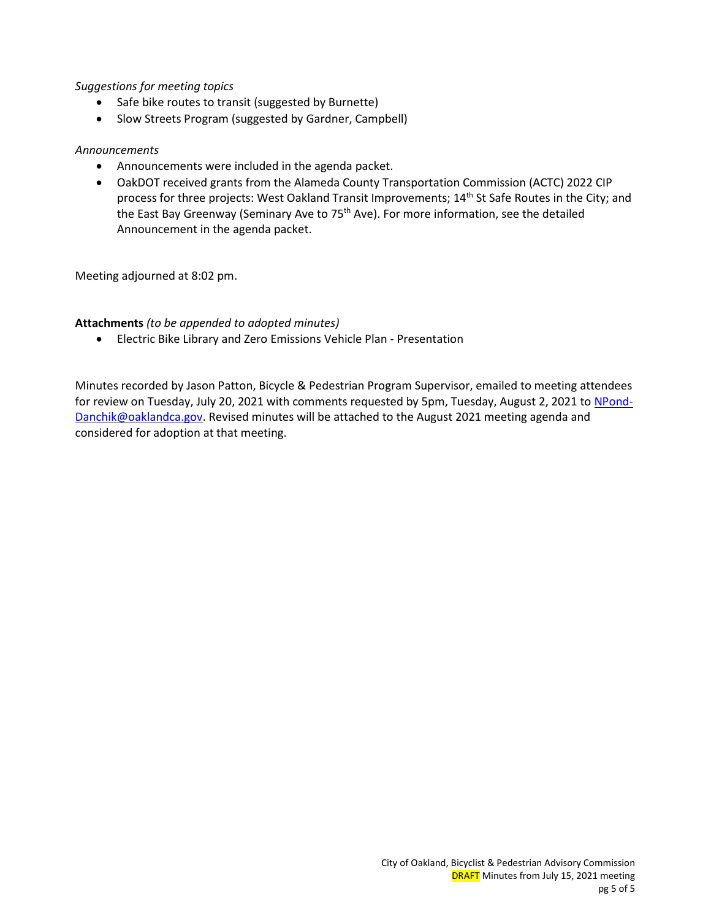# *Suggestions for meeting topics*

- Safe bike routes to transit (suggested by Burnette)
- Slow Streets Program (suggested by Gardner, Campbell)

### *Announcements*

- Announcements were included in the agenda packet.
- OakDOT received grants from the Alameda County Transportation Commission (ACTC) 2022 CIP process for three projects: West Oakland Transit Improvements; 14<sup>th</sup> St Safe Routes in the City; and the East Bay Greenway (Seminary Ave to 75<sup>th</sup> Ave). For more information, see the detailed Announcement in the agenda packet.

Meeting adjourned at 8:02 pm.

# **Attachments** *(to be appended to adopted minutes)*

• Electric Bike Library and Zero Emissions Vehicle Plan - Presentation

Minutes recorded by Jason Patton, Bicycle & Pedestrian Program Supervisor, emailed to meeting attendees for review on Tuesday, July 20, 2021 with comments requested by 5pm, Tuesday, August 2, 2021 to [NPond-](mailto:NPond-Danchik@oaklandca.gov)[Danchik@oaklandca.gov.](mailto:NPond-Danchik@oaklandca.gov) Revised minutes will be attached to the August 2021 meeting agenda and considered for adoption at that meeting.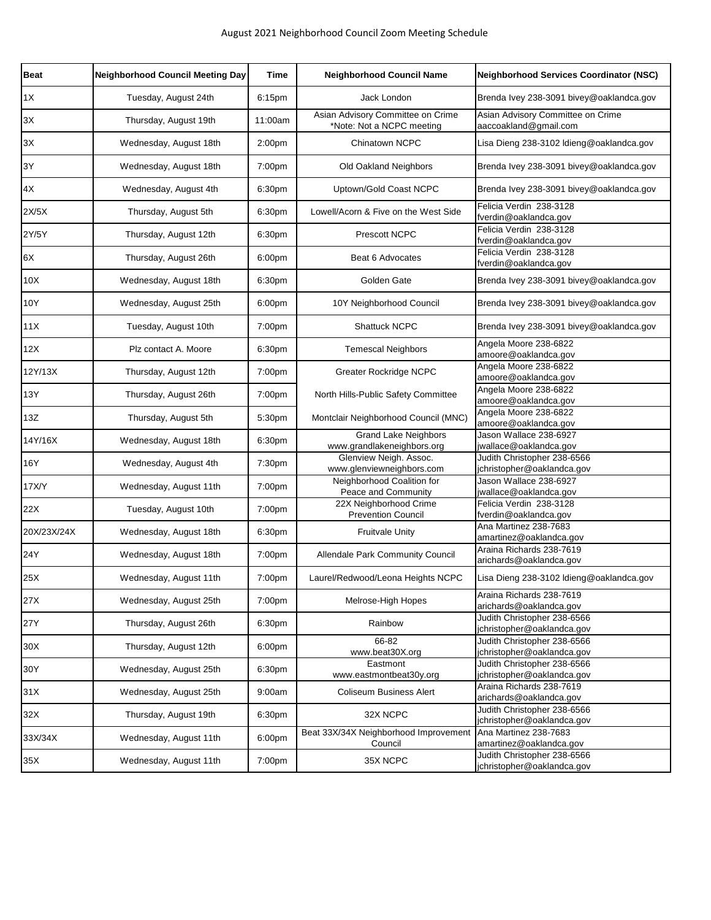| <b>Beat</b>            | <b>Neighborhood Council Meeting Day</b> | Time               | <b>Neighborhood Council Name</b>                               | <b>Neighborhood Services Coordinator (NSC)</b>             |
|------------------------|-----------------------------------------|--------------------|----------------------------------------------------------------|------------------------------------------------------------|
| 1X                     | Tuesday, August 24th                    | 6:15pm             | Jack London                                                    | Brenda Ivey 238-3091 bivey@oaklandca.gov                   |
| 3X                     | Thursday, August 19th                   | 11:00am            | Asian Advisory Committee on Crime<br>*Note: Not a NCPC meeting | Asian Advisory Committee on Crime<br>aaccoakland@gmail.com |
| 3X                     | Wednesday, August 18th                  | 2:00pm             | Chinatown NCPC                                                 | Lisa Dieng 238-3102 Idieng@oaklandca.gov                   |
| 3Y                     | Wednesday, August 18th                  | 7:00 <sub>pm</sub> | Old Oakland Neighbors                                          | Brenda Ivey 238-3091 bivey@oaklandca.gov                   |
| $4\mathrm{\mathsf{X}}$ | Wednesday, August 4th                   | 6:30pm             | Uptown/Gold Coast NCPC                                         | Brenda Ivey 238-3091 bivey@oaklandca.gov                   |
| 2X/5X                  | Thursday, August 5th                    | 6:30pm             | Lowell/Acorn & Five on the West Side                           | Felicia Verdin 238-3128<br>fverdin@oaklandca.gov           |
| 2Y/5Y                  | Thursday, August 12th                   | 6:30pm             | <b>Prescott NCPC</b>                                           | Felicia Verdin 238-3128<br>fverdin@oaklandca.gov           |
| 6X                     | Thursday, August 26th                   | 6:00pm             | Beat 6 Advocates                                               | Felicia Verdin 238-3128<br>fverdin@oaklandca.gov           |
| 10X                    | Wednesday, August 18th                  | 6:30pm             | Golden Gate                                                    | Brenda Ivey 238-3091 bivey@oaklandca.gov                   |
| 10Y                    | Wednesday, August 25th                  | 6:00 <sub>pm</sub> | 10Y Neighborhood Council                                       | Brenda Ivey 238-3091 bivey@oaklandca.gov                   |
| 11X                    | Tuesday, August 10th                    | 7:00 <sub>pm</sub> | <b>Shattuck NCPC</b>                                           | Brenda Ivey 238-3091 bivey@oaklandca.gov                   |
| 12X                    | Plz contact A. Moore                    | 6:30pm             | <b>Temescal Neighbors</b>                                      | Angela Moore 238-6822<br>amoore@oaklandca.gov              |
| 12Y/13X                | Thursday, August 12th                   | 7:00 <sub>pm</sub> | Greater Rockridge NCPC                                         | Angela Moore 238-6822<br>amoore@oaklandca.gov              |
| 13Y                    | Thursday, August 26th                   | 7:00pm             | North Hills-Public Safety Committee                            | Angela Moore 238-6822<br>amoore@oaklandca.gov              |
| 13Z                    | Thursday, August 5th                    | 5:30pm             | Montclair Neighborhood Council (MNC)                           | Angela Moore 238-6822<br>amoore@oaklandca.gov              |
| 14Y/16X                | Wednesday, August 18th                  | 6:30pm             | <b>Grand Lake Neighbors</b><br>www.grandlakeneighbors.org      | Jason Wallace 238-6927<br>jwallace@oaklandca.gov           |
| 16Y                    | Wednesday, August 4th                   | 7:30pm             | Glenview Neigh. Assoc.<br>www.glenviewneighbors.com            | Judith Christopher 238-6566<br>jchristopher@oaklandca.gov  |
| 17X/Y                  | Wednesday, August 11th                  | 7:00 <sub>pm</sub> | Neighborhood Coalition for<br>Peace and Community              | Jason Wallace 238-6927<br>jwallace@oaklandca.gov           |
| 22X                    | Tuesday, August 10th                    | 7:00 <sub>pm</sub> | 22X Neighborhood Crime<br><b>Prevention Council</b>            | Felicia Verdin 238-3128<br>fverdin@oaklandca.gov           |
| 20X/23X/24X            | Wednesday, August 18th                  | 6:30pm             | <b>Fruitvale Unity</b>                                         | Ana Martinez 238-7683<br>amartinez@oaklandca.gov           |
| 24Y                    | Wednesday, August 18th                  | 7:00pm             | Allendale Park Community Council                               | Araina Richards 238-7619<br>arichards@oaklandca.gov        |
| 25X                    | Wednesday, August 11th                  | 7:00 <sub>pm</sub> | Laurel/Redwood/Leona Heights NCPC                              | Lisa Dieng 238-3102 Idieng@oaklandca.gov                   |
| 27X                    | Wednesday, August 25th                  | 7:00pm             | Melrose-High Hopes                                             | Araina Richards 238-7619<br>arichards@oaklandca.gov        |
| 27Y                    | Thursday, August 26th                   | 6:30pm             | Rainbow                                                        | Judith Christopher 238-6566<br>jchristopher@oaklandca.gov  |
| 30X                    | Thursday, August 12th                   | 6:00 <sub>pm</sub> | 66-82<br>www.beat30X.org                                       | Judith Christopher 238-6566<br>jchristopher@oaklandca.gov  |
| 30Y                    | Wednesday, August 25th                  | 6:30pm             | Eastmont<br>www.eastmontbeat30y.org                            | Judith Christopher 238-6566<br>jchristopher@oaklandca.gov  |
| 31X                    | Wednesday, August 25th                  | 9:00am             | <b>Coliseum Business Alert</b>                                 | Araina Richards 238-7619<br>arichards@oaklandca.gov        |
| 32X                    | Thursday, August 19th                   | 6:30pm             | 32X NCPC                                                       | Judith Christopher 238-6566<br>jchristopher@oaklandca.gov  |
| 33X/34X                | Wednesday, August 11th                  | 6:00pm             | Beat 33X/34X Neighborhood Improvement<br>Council               | Ana Martinez 238-7683<br>amartinez@oaklandca.gov           |
| 35X                    | Wednesday, August 11th                  | 7:00pm             | 35X NCPC                                                       | Judith Christopher 238-6566<br>jchristopher@oaklandca.gov  |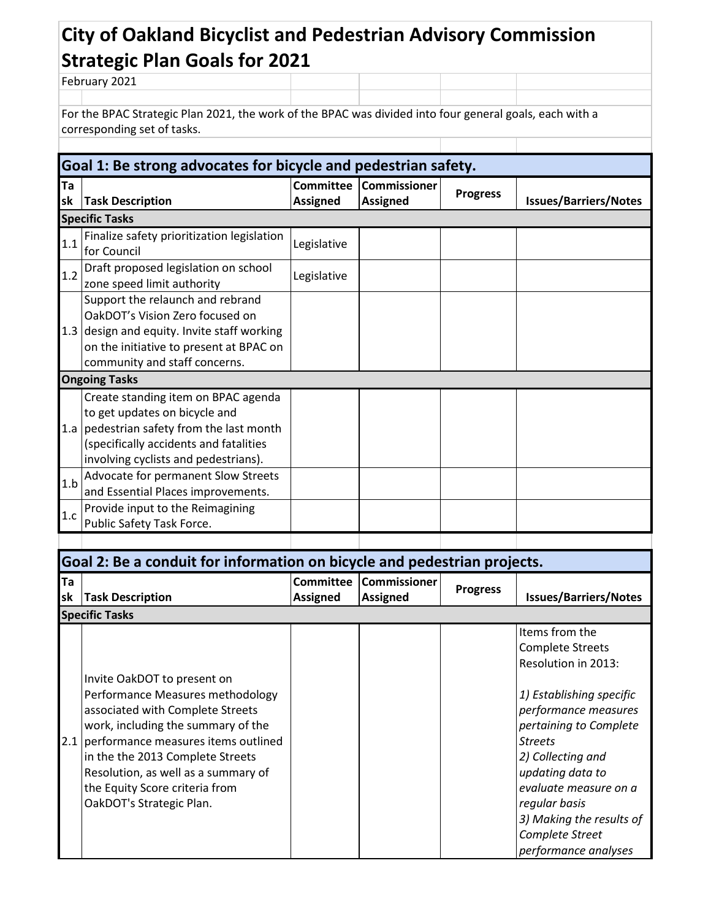# **City of Oakland Bicyclist and Pedestrian Advisory Commission Strategic Plan Goals for 2021**

February 2021

For the BPAC Strategic Plan 2021, the work of the BPAC was divided into four general goals, each with a corresponding set of tasks.

H.

|          | Goal 1: Be strong advocates for bicycle and pedestrian safety.                                                                                                                                        |                 |                                           |                 |                              |  |  |
|----------|-------------------------------------------------------------------------------------------------------------------------------------------------------------------------------------------------------|-----------------|-------------------------------------------|-----------------|------------------------------|--|--|
| Ta<br>sk | <b>Task Description</b>                                                                                                                                                                               | <b>Assigned</b> | Committee Commissioner<br><b>Assigned</b> | <b>Progress</b> | <b>Issues/Barriers/Notes</b> |  |  |
|          | <b>Specific Tasks</b>                                                                                                                                                                                 |                 |                                           |                 |                              |  |  |
| 1.1      | Finalize safety prioritization legislation<br>for Council                                                                                                                                             | Legislative     |                                           |                 |                              |  |  |
| 1.2      | Draft proposed legislation on school<br>zone speed limit authority                                                                                                                                    | Legislative     |                                           |                 |                              |  |  |
|          | Support the relaunch and rebrand<br>OakDOT's Vision Zero focused on<br>1.3 design and equity. Invite staff working<br>on the initiative to present at BPAC on<br>community and staff concerns.        |                 |                                           |                 |                              |  |  |
|          | <b>Ongoing Tasks</b>                                                                                                                                                                                  |                 |                                           |                 |                              |  |  |
|          | Create standing item on BPAC agenda<br>to get updates on bicycle and<br>1.a   pedestrian safety from the last month<br>(specifically accidents and fatalities<br>involving cyclists and pedestrians). |                 |                                           |                 |                              |  |  |
| 1.b      | Advocate for permanent Slow Streets<br>and Essential Places improvements.                                                                                                                             |                 |                                           |                 |                              |  |  |
| 1.c      | Provide input to the Reimagining<br>Public Safety Task Force.                                                                                                                                         |                 |                                           |                 |                              |  |  |
|          |                                                                                                                                                                                                       |                 |                                           |                 |                              |  |  |

| Goal 2: Be a conduit for information on bicycle and pedestrian projects. |                                                                                                                                                                                                                                                                                                                               |                                     |                                 |                 |                                                                                                                                                                                                                                                                                                                            |  |  |
|--------------------------------------------------------------------------|-------------------------------------------------------------------------------------------------------------------------------------------------------------------------------------------------------------------------------------------------------------------------------------------------------------------------------|-------------------------------------|---------------------------------|-----------------|----------------------------------------------------------------------------------------------------------------------------------------------------------------------------------------------------------------------------------------------------------------------------------------------------------------------------|--|--|
| <b>Ta</b><br>lsk                                                         | <b>Task Description</b>                                                                                                                                                                                                                                                                                                       | <b>Committee</b><br><b>Assigned</b> | Commissioner<br><b>Assigned</b> | <b>Progress</b> | <b>Issues/Barriers/Notes</b>                                                                                                                                                                                                                                                                                               |  |  |
|                                                                          | <b>Specific Tasks</b>                                                                                                                                                                                                                                                                                                         |                                     |                                 |                 |                                                                                                                                                                                                                                                                                                                            |  |  |
|                                                                          | Invite OakDOT to present on<br>Performance Measures methodology<br>associated with Complete Streets<br>work, including the summary of the<br>2.1 performance measures items outlined<br>in the the 2013 Complete Streets<br>Resolution, as well as a summary of<br>the Equity Score criteria from<br>OakDOT's Strategic Plan. |                                     |                                 |                 | Items from the<br><b>Complete Streets</b><br>Resolution in 2013:<br>1) Establishing specific<br>performance measures<br>pertaining to Complete<br><b>Streets</b><br>2) Collecting and<br>updating data to<br>evaluate measure on a<br>regular basis<br>3) Making the results of<br>Complete Street<br>performance analyses |  |  |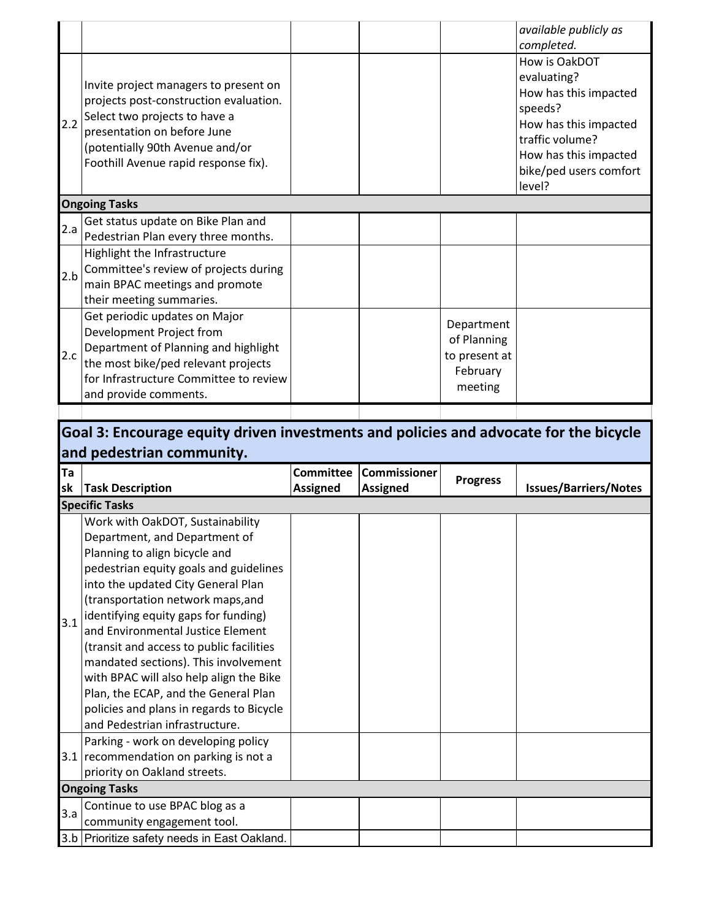|     |                                                                                                                                                                                                                            |                                                                   | available publicly as<br>completed.                                                                                                                                       |
|-----|----------------------------------------------------------------------------------------------------------------------------------------------------------------------------------------------------------------------------|-------------------------------------------------------------------|---------------------------------------------------------------------------------------------------------------------------------------------------------------------------|
| 2.2 | Invite project managers to present on<br>projects post-construction evaluation.<br>Select two projects to have a<br>presentation on before June<br>(potentially 90th Avenue and/or<br>Foothill Avenue rapid response fix). |                                                                   | How is OakDOT<br>evaluating?<br>How has this impacted<br>speeds?<br>How has this impacted<br>traffic volume?<br>How has this impacted<br>bike/ped users comfort<br>level? |
|     | <b>Ongoing Tasks</b>                                                                                                                                                                                                       |                                                                   |                                                                                                                                                                           |
| 2.a | Get status update on Bike Plan and<br>Pedestrian Plan every three months.                                                                                                                                                  |                                                                   |                                                                                                                                                                           |
| 2.b | Highlight the Infrastructure<br>Committee's review of projects during<br>main BPAC meetings and promote<br>their meeting summaries.                                                                                        |                                                                   |                                                                                                                                                                           |
| 2.c | Get periodic updates on Major<br>Development Project from<br>Department of Planning and highlight<br>the most bike/ped relevant projects<br>for Infrastructure Committee to review<br>and provide comments.                | Department<br>of Planning<br>to present at<br>February<br>meeting |                                                                                                                                                                           |

### **Goal 3: Encourage equity driven investments and policies and advocate for the bicycle and pedestrian community. Ta Committee Commissioner Assigned Progress Issues/Barriers/Notes**

| sk  | <b>Task Description</b>                                                                                                                                                                                                                                                                                                                                                                                                                                                                                                                                   | <b>Assigned</b> | <b>Assigned</b> | יטי ימיי | <b>Issues/Barriers/Notes</b> |  |
|-----|-----------------------------------------------------------------------------------------------------------------------------------------------------------------------------------------------------------------------------------------------------------------------------------------------------------------------------------------------------------------------------------------------------------------------------------------------------------------------------------------------------------------------------------------------------------|-----------------|-----------------|----------|------------------------------|--|
|     | <b>Specific Tasks</b>                                                                                                                                                                                                                                                                                                                                                                                                                                                                                                                                     |                 |                 |          |                              |  |
| 3.1 | Work with OakDOT, Sustainability<br>Department, and Department of<br>Planning to align bicycle and<br>pedestrian equity goals and guidelines<br>into the updated City General Plan<br>(transportation network maps, and<br>identifying equity gaps for funding)<br>and Environmental Justice Element<br>(transit and access to public facilities<br>mandated sections). This involvement<br>with BPAC will also help align the Bike<br>Plan, the ECAP, and the General Plan<br>policies and plans in regards to Bicycle<br>and Pedestrian infrastructure. |                 |                 |          |                              |  |
|     | Parking - work on developing policy<br>3.1 recommendation on parking is not a<br>priority on Oakland streets.                                                                                                                                                                                                                                                                                                                                                                                                                                             |                 |                 |          |                              |  |
|     | <b>Ongoing Tasks</b>                                                                                                                                                                                                                                                                                                                                                                                                                                                                                                                                      |                 |                 |          |                              |  |
| 3.a | Continue to use BPAC blog as a<br>community engagement tool.                                                                                                                                                                                                                                                                                                                                                                                                                                                                                              |                 |                 |          |                              |  |
|     | 3.b Prioritize safety needs in East Oakland.                                                                                                                                                                                                                                                                                                                                                                                                                                                                                                              |                 |                 |          |                              |  |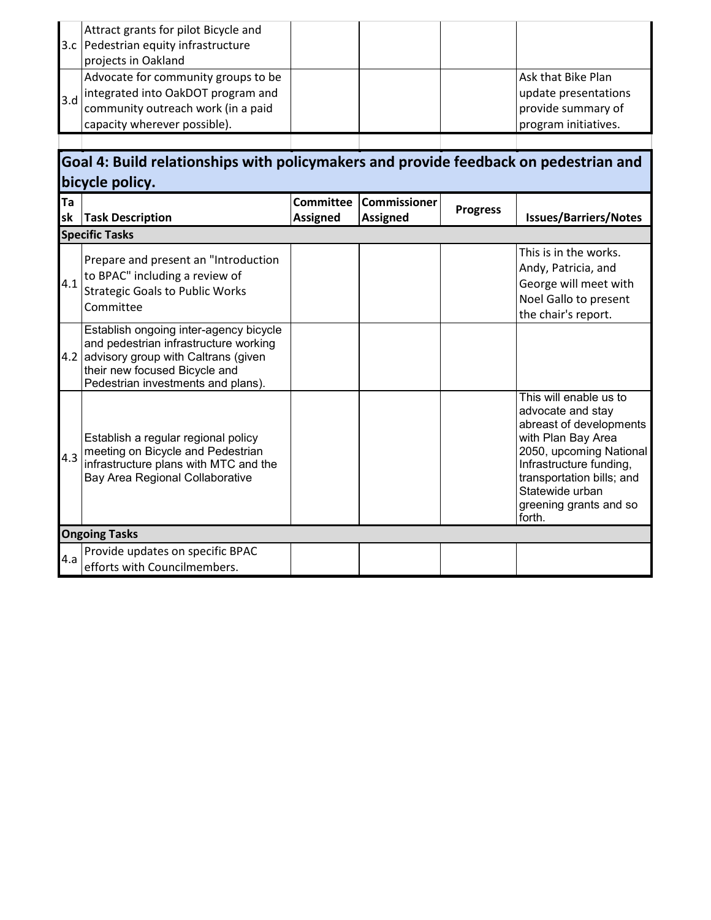|          | Attract grants for pilot Bicycle and<br>3.c Pedestrian equity infrastructure<br>projects in Oakland                                                                     |                                     |                                        |                 |                                                                                                                                                                                                                                        |
|----------|-------------------------------------------------------------------------------------------------------------------------------------------------------------------------|-------------------------------------|----------------------------------------|-----------------|----------------------------------------------------------------------------------------------------------------------------------------------------------------------------------------------------------------------------------------|
| 3.d      | Advocate for community groups to be<br>integrated into OakDOT program and<br>community outreach work (in a paid<br>capacity wherever possible).                         |                                     |                                        |                 | Ask that Bike Plan<br>update presentations<br>provide summary of<br>program initiatives.                                                                                                                                               |
|          |                                                                                                                                                                         |                                     |                                        |                 |                                                                                                                                                                                                                                        |
|          | Goal 4: Build relationships with policymakers and provide feedback on pedestrian and<br>bicycle policy.                                                                 |                                     |                                        |                 |                                                                                                                                                                                                                                        |
| Ta<br>sk | <b>Task Description</b>                                                                                                                                                 | <b>Committee</b><br><b>Assigned</b> | <b>Commissioner</b><br><b>Assigned</b> | <b>Progress</b> | <b>Issues/Barriers/Notes</b>                                                                                                                                                                                                           |
|          | <b>Specific Tasks</b>                                                                                                                                                   |                                     |                                        |                 |                                                                                                                                                                                                                                        |
| 4.1      | Prepare and present an "Introduction<br>to BPAC" including a review of<br><b>Strategic Goals to Public Works</b><br>Committee<br>Establish ongoing inter-agency bicycle |                                     |                                        |                 | This is in the works.<br>Andy, Patricia, and<br>George will meet with<br>Noel Gallo to present<br>the chair's report.                                                                                                                  |
|          | and pedestrian infrastructure working<br>4.2 advisory group with Caltrans (given<br>their new focused Bicycle and<br>Pedestrian investments and plans).                 |                                     |                                        |                 |                                                                                                                                                                                                                                        |
| 4.3      | Establish a regular regional policy<br>meeting on Bicycle and Pedestrian<br>infrastructure plans with MTC and the<br>Bay Area Regional Collaborative                    |                                     |                                        |                 | This will enable us to<br>advocate and stay<br>abreast of developments<br>with Plan Bay Area<br>2050, upcoming National<br>Infrastructure funding,<br>transportation bills; and<br>Statewide urban<br>greening grants and so<br>forth. |
|          | <b>Ongoing Tasks</b>                                                                                                                                                    |                                     |                                        |                 |                                                                                                                                                                                                                                        |
| 4.a      | Provide updates on specific BPAC<br>efforts with Councilmembers.                                                                                                        |                                     |                                        |                 |                                                                                                                                                                                                                                        |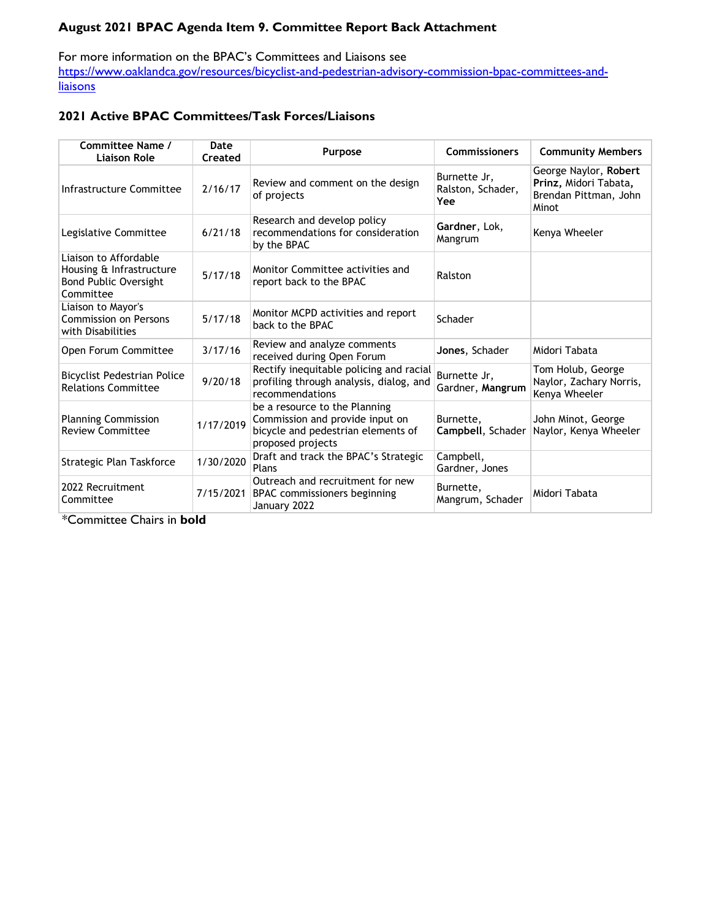# **August 2021 BPAC Agenda Item 9. Committee Report Back Attachment**

For more information on the BPAC's Committees and Liaisons see [https://www.oaklandca.gov/resources/bicyclist-and-pedestrian-advisory-commission-bpac-committees-and](https://www.oaklandca.gov/resources/bicyclist-and-pedestrian-advisory-commission-bpac-committees-and-liaisons)**[liaisons](https://www.oaklandca.gov/resources/bicyclist-and-pedestrian-advisory-commission-bpac-committees-and-liaisons)** 

# **2021 Active BPAC Committees/Task Forces/Liaisons**

| Committee Name /<br><b>Liaison Role</b>                                                        | Date<br>Created | Purpose                                                                                                                     | <b>Commissioners</b>                     | <b>Community Members</b>                                                         |
|------------------------------------------------------------------------------------------------|-----------------|-----------------------------------------------------------------------------------------------------------------------------|------------------------------------------|----------------------------------------------------------------------------------|
| Infrastructure Committee                                                                       | 2/16/17         | Review and comment on the design<br>of projects                                                                             | Burnette Jr,<br>Ralston, Schader,<br>Yee | George Naylor, Robert<br>Prinz, Midori Tabata,<br>Brendan Pittman, John<br>Minot |
| Legislative Committee                                                                          | 6/21/18         | Research and develop policy<br>recommendations for consideration<br>by the BPAC                                             | Gardner, Lok,<br>Mangrum                 | Kenya Wheeler                                                                    |
| Liaison to Affordable<br>Housing & Infrastructure<br><b>Bond Public Oversight</b><br>Committee | 5/17/18         | Monitor Committee activities and<br>report back to the BPAC                                                                 | Ralston                                  |                                                                                  |
| Liaison to Mayor's<br><b>Commission on Persons</b><br>with Disabilities                        | 5/17/18         | Monitor MCPD activities and report<br>back to the BPAC                                                                      | Schader                                  |                                                                                  |
| Open Forum Committee                                                                           | 3/17/16         | Review and analyze comments<br>received during Open Forum                                                                   | Jones, Schader                           | Midori Tabata                                                                    |
| <b>Bicyclist Pedestrian Police</b><br><b>Relations Committee</b>                               | 9/20/18         | Rectify inequitable policing and racial<br>profiling through analysis, dialog, and<br>recommendations                       | Burnette Jr,<br>Gardner, Mangrum         | Tom Holub, George<br>Naylor, Zachary Norris,<br>Kenya Wheeler                    |
| <b>Planning Commission</b><br><b>Review Committee</b>                                          | 1/17/2019       | be a resource to the Planning<br>Commission and provide input on<br>bicycle and pedestrian elements of<br>proposed projects | Burnette.<br>Campbell, Schader           | John Minot, George<br>Naylor, Kenya Wheeler                                      |
| Strategic Plan Taskforce                                                                       | 1/30/2020       | Draft and track the BPAC's Strategic<br>Plans                                                                               | Campbell,<br>Gardner, Jones              |                                                                                  |
| 2022 Recruitment<br>Committee                                                                  | 7/15/2021       | Outreach and recruitment for new<br>BPAC commissioners beginning<br>January 2022                                            | Burnette,<br>Mangrum, Schader            | Midori Tabata                                                                    |

\*Committee Chairs in **bold**